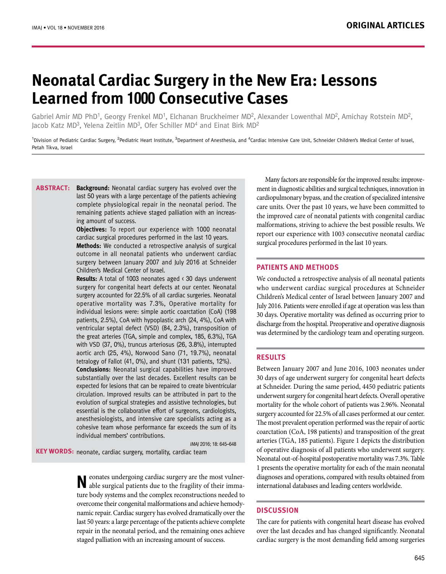# **Neonatal Cardiac Surgery in the New Era: Lessons learned from 1000 Consecutive Cases**

Gabriel Amir MD PhD<sup>1</sup>, Georgy Frenkel MD<sup>1</sup>, Elchanan Bruckheimer MD<sup>2</sup>, Alexander Lowenthal MD<sup>2</sup>, Amichav Rotstein MD<sup>2</sup>. Jacob Katz MD3, Yelena Zeitlin MD3, Ofer Schiller MD4 and Einat Birk MD<sup>2</sup>

<sup>1</sup>Division of Pediatric Cardiac Surgery, <sup>2</sup>Pediatric Heart Institute, <sup>3</sup>Department of Anesthesia, and <sup>4</sup>Cardiac Intensive Care Unit, Schneider Children's Medical Center of Israel, Petah Tikva, Israel

**Background:** Neonatal cardiac surgery has evolved over the last 50 years with a large percentage of the patients achieving complete physiological repair in the neonatal period. The remaining patients achieve staged palliation with an increasing amount of success. **Abstract:**

**Objectives:** To report our experience with 1000 neonatal cardiac surgical procedures performed in the last 10 years. **Methods:** We conducted a retrospective analysis of surgical outcome in all neonatal patients who underwent cardiac surgery between January 2007 and July 2016 at Schneider Children's Medical Center of Israel.

**Results:** A total of 1003 neonates aged < 30 days underwent surgery for congenital heart defects at our center. Neonatal surgery accounted for 22.5% of all cardiac surgeries. Neonatal operative mortality was 7.3%, Operative mortality for individual lesions were: simple aortic coarctation (CoA) (198 patients, 2.5%), CoA with hypoplastic arch (24, 4%), CoA with ventricular septal defect (VSD) (84, 2.3%), transposition of the great arteries (TGA, simple and complex, 185, 6.3%), TGA with VSD (37, 0%), truncus arteriosus (26, 3.8%), interrupted aortic arch (25, 4%), Norwood Sano (71, 19.7%), neonatal tetralogy of Fallot (41, 0%), and shunt (131 patients, 12%). **Conclusions:** Neonatal surgical capabilities have improved substantially over the last decades. Excellent results can be expected for lesions that can be repaired to create biventricular circulation. Improved results can be attributed in part to the evolution of surgical strategies and assistive technologies, but essential is the collaborative effort of surgeons, cardiologists, anesthesiologists, and intensive care specialists acting as a cohesive team whose performance far exceeds the sum of its

IMAJ 2016; 18: 645–648

KEY WORDS: neonate, cardiac surgery, mortality, cardiac team

individual members' contributions.

**N**eonates undergoing cardiac surgery are the most vulnerable surgical patients due to the fragility of their immature body systems and the complex reconstructions needed to overcome their congenital malformations and achieve hemodynamic repair. Cardiac surgery has evolved dramatically over the last 50 years: a large percentage of the patients achieve complete repair in the neonatal period, and the remaining ones achieve staged palliation with an increasing amount of success.

Many factors are responsible for the improved results: improvement in diagnostic abilities and surgical techniques, innovation in cardiopulmonary bypass, and the creation of specialized intensive care units. Over the past 10 years, we have been committed to the improved care of neonatal patients with congenital cardiac malformations, striving to achieve the best possible results. We report our experience with 1003 consecutive neonatal cardiac surgical procedures performed in the last 10 years.

## **PATIENTS AND METHODS**

We conducted a retrospective analysis of all neonatal patients who underwent cardiac surgical procedures at Schneider Children's Medical center of Israel between January 2007 and July 2016. Patients were enrolled if age at operation was less than 30 days. Operative mortality was defined as occurring prior to discharge from the hospital. Preoperative and operative diagnosis was determined by the cardiology team and operating surgeon.

# **RESULTS**

Between January 2007 and June 2016, 1003 neonates under 30 days of age underwent surgery for congenital heart defects at Schneider. During the same period, 4450 pediatric patients underwent surgery for congenital heart defects. Overall operative mortality for the whole cohort of patients was 2.96%. Neonatal surgery accounted for 22.5% of all cases performed at our center. The most prevalent operation performed was the repair of aortic coarctation (CoA, 198 patients) and transposition of the great arteries (TGA, 185 patients). Figure 1 depicts the distribution of operative diagnosis of all patients who underwent surgery. Neonatal out-of-hospital postoperative mortality was 7.3%. Table 1 presents the operative mortality for each of the main neonatal diagnoses and operations, compared with results obtained from international databases and leading centers worldwide.

## **DISCUSSION**

The care for patients with congenital heart disease has evolved over the last decades and has changed significantly. Neonatal cardiac surgery is the most demanding field among surgeries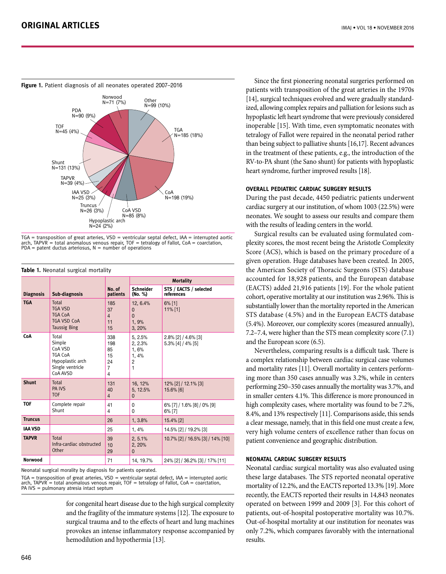



 $TGA =$  transposition of great arteries,  $VSD =$  ventricular septal defect, IAA = interrupted aortic arch, TAPVR = total anomalous venous repair, TOF = tetralogy of Fallot, CoA = coarctation,<br>PDA = patent ductus arteriosus, N = number of operations

|                  |                                                                                                  |                                         | <b>Mortality</b>                                          |                                          |  |
|------------------|--------------------------------------------------------------------------------------------------|-----------------------------------------|-----------------------------------------------------------|------------------------------------------|--|
| <b>Diagnosis</b> | Sub-diagnosis                                                                                    | No. of<br>patients                      | <b>Schneider</b><br>(No. %)                               | STS / EACTS / selected<br>references     |  |
| <b>TGA</b>       | Total<br><b>TGA VSD</b><br><b>TGA CoA</b><br><b>TGA VSD CoA</b><br><b>Taussig Bing</b>           | 185<br>37<br>$\overline{4}$<br>11<br>15 | 12, 6.4%<br>$\mathbf{0}$<br>$\Omega$<br>1, 9%<br>3.20%    | $6\%$ [1]<br>$11\%$ [1]                  |  |
| CoA              | Total<br>Simple<br>CoA VSD<br><b>TGA CoA</b><br>Hypoplastic arch<br>Single ventricle<br>CoA AVSD | 338<br>198<br>85<br>15<br>24<br>7<br>4  | 5, 2.5%<br>2, 2.3%<br>1,6%<br>1.4%<br>$\overline{c}$<br>1 | 2.8% [2] / 4.6% [3]<br>5.3% [4] / 4% [5] |  |
| <b>Shunt</b>     | Total<br><b>PA IVS</b><br><b>TOF</b>                                                             | 131<br>40<br>$\overline{4}$             | 16, 12%<br>5, 12.5%<br>$\mathbf{0}$                       | 12% [2] / 12.1% [3]<br>15.6% [6]         |  |
| <b>TOF</b>       | Complete repair<br>Shunt                                                                         | 41<br>4                                 | 0<br>0                                                    | $6\%$ [7] / 1.6% [8] / 0% [9]<br>6% [7]  |  |
| <b>Truncus</b>   |                                                                                                  | 26                                      | 1, 3.8%                                                   | 15.4% [2]                                |  |
| <b>IAA VSD</b>   |                                                                                                  | 25                                      | 1, 4%                                                     | 14.5% [2] / 19.2% [3]                    |  |
| <b>TAPVR</b>     | Total<br>Infra-cardiac obstructed<br>Other                                                       | 39<br>10<br>29                          | 2, 5.1%<br>2, 20%<br>0                                    | 10.7% [2] / 16.5% [3] / 14% [10]         |  |
| Norwood          |                                                                                                  | 71                                      | 14, 19.7%                                                 | 24% [2] / 36.2% [3] / 17% [11]           |  |

#### **Table 1.** Neonatal surgical mortality

Neonatal surgical morality by diagnosis for patients operated.

TGA = transposition of great arteries, VSD = ventricular septal defect, IAA = interrupted aortic arch, TAPVR = total anomalous venous repair, TOF = tetralogy of Fallot,  $CoA = coarctation$ , PA IVS = pulmonary atresia intact septum

> for congenital heart disease due to the high surgical complexity and the fragility of the immature systems [12]. The exposure to surgical trauma and to the effects of heart and lung machines provokes an intense inflammatory response accompanied by hemodilution and hypothermia [13].

Since the first pioneering neonatal surgeries performed on patients with transposition of the great arteries in the 1970s [14], surgical techniques evolved and were gradually standardized, allowing complex repairs and palliation for lesions such as hypoplastic left heart syndrome that were previously considered inoperable [15]. With time, even symptomatic neonates with tetralogy of Fallot were repaired in the neonatal period rather than being subject to palliative shunts [16,17]. Recent advances in the treatment of these patients, e.g., the introduction of the RV-to-PA shunt (the Sano shunt) for patients with hypoplastic heart syndrome, further improved results [18].

## **Overall pediatric cardiac surgery results**

During the past decade, 4450 pediatric patients underwent cardiac surgery at our institution, of whom 1003 (22.5%) were neonates. We sought to assess our results and compare them with the results of leading centers in the world.

Surgical results can be evaluated using formulated complexity scores, the most recent being the Aristotle Complexity Score (ACS), which is based on the primary procedure of a given operation. Huge databases have been created. In 2005, the American Society of Thoracic Surgeons (STS) database accounted for 18,928 patients, and the European database (EACTS) added 21,916 patients [19]. For the whole patient cohort, operative mortality at our institution was 2.96%. This is substantially lower than the mortality reported in the American STS database (4.5%) and in the European EACTS database (5.4%). Moreover, our complexity scores (measured annually), 7.2–7.4, were higher than the STS mean complexity score (7.1) and the European score (6.5).

Nevertheless, comparing results is a difficult task. There is a complex relationship between cardiac surgical case volumes and mortality rates [11]. Overall mortality in centers performing more than 350 cases annually was 3.2%, while in centers performing 250–350 cases annually the mortality was 3.7%, and in smaller centers 4.1%. This difference is more pronounced in high complexity cases, where mortality was found to be 7.2%, 8.4%, and 13% respectively [11]. Comparisons aside, this sends a clear message, namely, that in this field one must create a few, very high volume centers of excellence rather than focus on patient convenience and geographic distribution.

## **Neonatal cardiac surgery results**

Neonatal cardiac surgical mortality was also evaluated using these large databases. The STS reported neonatal operative mortality of 12.2%, and the EACTS reported 13.3% [19]. More recently, the EACTS reported their results in 14,843 neonates operated on between 1999 and 2009 [3]. For this cohort of patients, out-of-hospital postoperative mortality was 10.7%. Out-of-hospital mortality at our institution for neonates was only 7.2%, which compares favorably with the international results.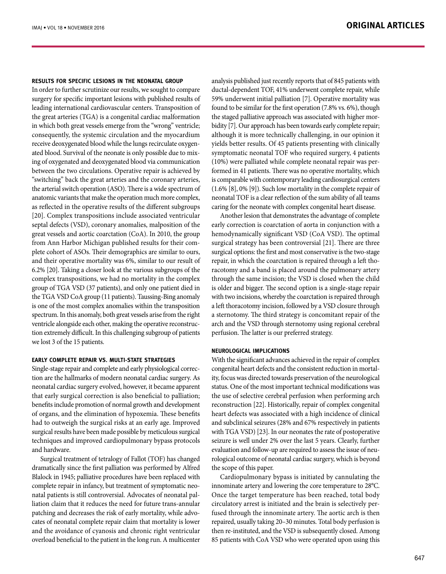#### **Results for specific lesions in the neonatal group**

In order to further scrutinize our results, we sought to compare surgery for specific important lesions with published results of leading international cardiovascular centers. Transposition of the great arteries (TGA) is a congenital cardiac malformation in which both great vessels emerge from the "wrong" ventricle; consequently, the systemic circulation and the myocardium receive deoxygenated blood while the lungs recirculate oxygenated blood. Survival of the neonate is only possible due to mixing of oxygenated and deoxygenated blood via communication between the two circulations. Operative repair is achieved by "switching" back the great arteries and the coronary arteries, the arterial switch operation (ASO). There is a wide spectrum of anatomic variants that make the operation much more complex, as reflected in the operative results of the different subgroups [20]. Complex transpositions include associated ventricular septal defects (VSD), coronary anomalies, malposition of the great vessels and aortic coarctation (CoA). In 2010, the group from Ann Harbor Michigan published results for their complete cohort of ASOs. Their demographics are similar to ours, and their operative mortality was 6%, similar to our result of 6.2% [20]. Taking a closer look at the various subgroups of the complex transpositions, we had no mortality in the complex group of TGA VSD (37 patients), and only one patient died in the TGA VSD CoA group (11 patients). Taussing-Bing anomaly is one of the most complex anomalies within the transposition spectrum. In this anomaly, both great vessels arise from the right ventricle alongside each other, making the operative reconstruction extremely difficult. In this challenging subgroup of patients we lost 3 of the 15 patients.

## **Early complete repair vs. multi-state strategies**

Single-stage repair and complete and early physiological correction are the hallmarks of modern neonatal cardiac surgery. As neonatal cardiac surgery evolved, however, it became apparent that early surgical correction is also beneficial to palliation; benefits include promotion of normal growth and development of organs, and the elimination of hypoxemia. These benefits had to outweigh the surgical risks at an early age. Improved surgical results have been made possible by meticulous surgical techniques and improved cardiopulmonary bypass protocols and hardware.

Surgical treatment of tetralogy of Fallot (TOF) has changed dramatically since the first palliation was performed by Alfred Blalock in 1945; palliative procedures have been replaced with complete repair in infancy, but treatment of symptomatic neonatal patients is still controversial. Advocates of neonatal palliation claim that it reduces the need for future trans-annular patching and decreases the risk of early mortality, while advocates of neonatal complete repair claim that mortality is lower and the avoidance of cyanosis and chronic right ventricular overload beneficial to the patient in the long run. A multicenter analysis published just recently reports that of 845 patients with ductal-dependent TOF, 41% underwent complete repair, while 59% underwent initial palliation [7]. Operative mortality was found to be similar for the first operation (7.8% vs. 6%), though the staged palliative approach was associated with higher morbidity [7]. Our approach has been towards early complete repair; although it is more technically challenging, in our opinion it yields better results. Of 45 patients presenting with clinically symptomatic neonatal TOF who required surgery, 4 patients (10%) were palliated while complete neonatal repair was performed in 41 patients. There was no operative mortality, which is comparable with contemporary leading cardiosurgical centers (1.6% [8], 0% [9]). Such low mortality in the complete repair of neonatal TOF is a clear reflection of the sum ability of all teams caring for the neonate with complex congenital heart disease.

Another lesion that demonstrates the advantage of complete early correction is coarctation of aorta in conjunction with a hemodynamically significant VSD (CoA VSD). The optimal surgical strategy has been controversial [21]. There are three surgical options: the first and most conservative is the two-stage repair, in which the coarctation is repaired through a left thoracotomy and a band is placed around the pulmonary artery through the same incision; the VSD is closed when the child is older and bigger. The second option is a single-stage repair with two incisions, whereby the coarctation is repaired through a left thoracotomy incision, followed by a VSD closure through a sternotomy. The third strategy is concomitant repair of the arch and the VSD through sternotomy using regional cerebral perfusion. The latter is our preferred strategy.

#### **Neurological Implications**

With the significant advances achieved in the repair of complex congenital heart defects and the consistent reduction in mortality, focus was directed towards preservation of the neurological status. One of the most important technical modifications was the use of selective cerebral perfusion when performing arch reconstruction [22]. Historically, repair of complex congenital heart defects was associated with a high incidence of clinical and subclinical seizures (28% and 67% respectively in patients with TGA VSD) [23]. In our neonates the rate of postoperative seizure is well under 2% over the last 5 years. Clearly, further evaluation and follow-up are required to assess the issue of neurological outcome of neonatal cardiac surgery, which is beyond the scope of this paper.

Cardiopulmonary bypass is initiated by cannulating the innominate artery and lowering the core temperature to 28°C. Once the target temperature has been reached, total body circulatory arrest is initiated and the brain is selectively perfused through the innominate artery. The aortic arch is then repaired, usually taking 20–30 minutes. Total body perfusion is then re-instituted, and the VSD is subsequently closed. Among 85 patients with CoA VSD who were operated upon using this